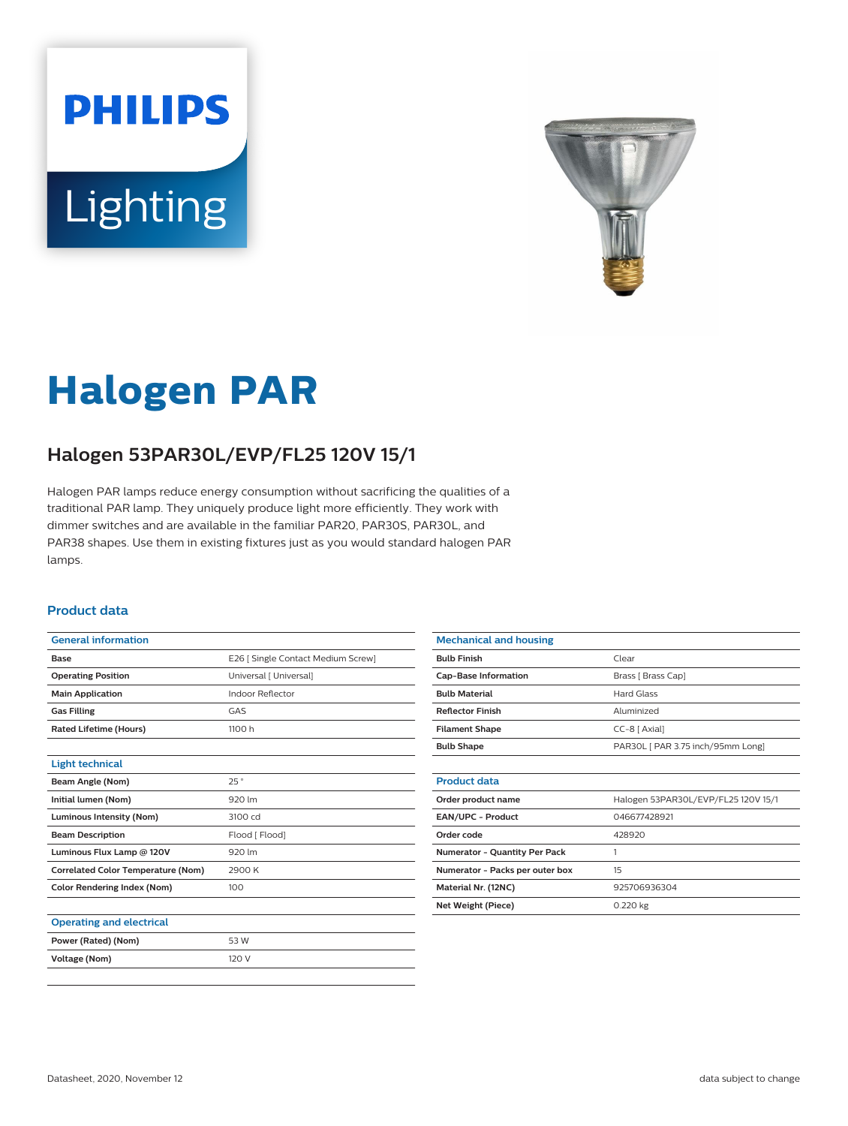# **PHILIPS** Lighting



# **Halogen PAR**

## **Halogen 53PAR30L/EVP/FL25 120V 15/1**

Halogen PAR lamps reduce energy consumption without sacrificing the qualities of a traditional PAR lamp. They uniquely produce light more efficiently. They work with dimmer switches and are available in the familiar PAR20, PAR30S, PAR30L, and PAR38 shapes. Use them in existing fixtures just as you would standard halogen PAR lamps.

#### **Product data**

| <b>General information</b>                |                                    |
|-------------------------------------------|------------------------------------|
| <b>Base</b>                               | E26   Single Contact Medium Screw] |
| <b>Operating Position</b>                 | Universal [ Universal]             |
| <b>Main Application</b>                   | Indoor Reflector                   |
| <b>Gas Filling</b>                        | GAS                                |
| <b>Rated Lifetime (Hours)</b>             | 1100 h                             |
|                                           |                                    |
| <b>Light technical</b>                    |                                    |
| Beam Angle (Nom)                          | 25°                                |
| Initial lumen (Nom)                       | 920 lm                             |
| <b>Luminous Intensity (Nom)</b>           | 3100 cd                            |
| <b>Beam Description</b>                   | Flood [ Flood]                     |
| Luminous Flux Lamp @ 120V                 | 920 lm                             |
| <b>Correlated Color Temperature (Nom)</b> | 2900 K                             |
| <b>Color Rendering Index (Nom)</b>        | 100                                |
|                                           |                                    |
| <b>Operating and electrical</b>           |                                    |
| Power (Rated) (Nom)                       | 53 W                               |
| <b>Voltage (Nom)</b>                      | 120 V                              |
|                                           |                                    |

| <b>Mechanical and housing</b>   |                                     |
|---------------------------------|-------------------------------------|
| <b>Bulb Finish</b>              | Clear                               |
| <b>Cap-Base Information</b>     | Brass [ Brass Cap]                  |
| <b>Bulb Material</b>            | <b>Hard Glass</b>                   |
| <b>Reflector Finish</b>         | Aluminized                          |
| <b>Filament Shape</b>           | $CC-8$ [ Axial]                     |
| <b>Bulb Shape</b>               | PAR30L [ PAR 3.75 inch/95mm Long]   |
|                                 |                                     |
| <b>Product data</b>             |                                     |
| Order product name              | Halogen 53PAR30L/EVP/FL25 120V 15/1 |
| EAN/UPC - Product               | 046677428921                        |
| Order code                      | 428920                              |
| Numerator - Quantity Per Pack   | 1                                   |
| Numerator - Packs per outer box | 15                                  |
| Material Nr. (12NC)             | 925706936304                        |
| <b>Net Weight (Piece)</b>       | 0.220 kg                            |
|                                 |                                     |